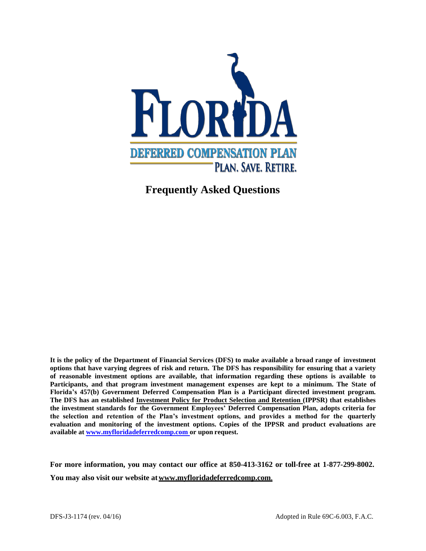

# **Frequently Asked Questions**

**It is the policy of the Department of Financial Services (DFS) to make available a broad range of investment** options that have varying degrees of risk and return. The DFS has responsibility for ensuring that a variety **of reasonable investment options are available, that information regarding these options is available to Participants, and that program investment management expenses are kept to a minimum. The State of Florida's 457(b) Government Deferred Compensation Plan is a Participant directed investment program. The DFS has an established Investment Policy for Product Selection and Retention (IPPSR) that establishes the investment standards for the Government Employees' Deferred Compensation Plan, adopts criteria for the selection and retention of the Plan's investment options, and provides a method for the quarterly evaluation and monitoring of the investment options. Copies of the IPPSR and product evaluations are available a[t www.myfloridadeferredcomp.com o](http://www.myfloridadeferredcomp.com/)r upon request.**

**For more information, you may contact our office at 850-413-3162 or toll-free at 1-877-299-8002.** You may also visit our website at **www.myfloridadeferredcomp.com**.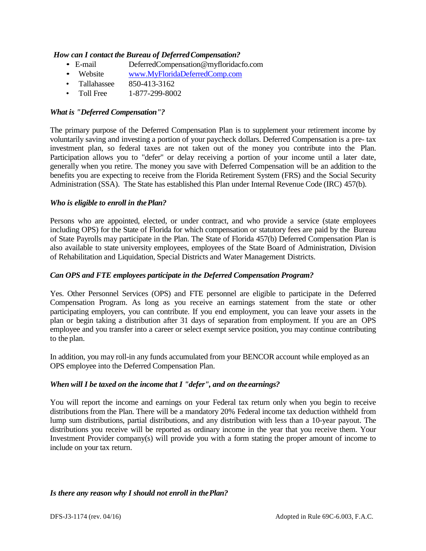## *How can I contact the Bureau of DeferredCompensation?*

- E-mail [DeferredCompensation@myfloridacfo.com](mailto:DeferredCompensation@myfloridacfo.com.com)
- Website [www.MyFloridaDeferredComp.com](http://www.myfloridadeferredcomp.com/)
- Tallahassee 850-413-3162
- Toll Free 1-877-299-8002

## *What is "Deferred Compensation"?*

The primary purpose of the Deferred Compensation Plan is to supplement your retirement income by voluntarily saving and investing a portion of your paycheck dollars. Deferred Compensation is a pre- tax investment plan, so federal taxes are not taken out of the money you contribute into the Plan. Participation allows you to "defer" or delay receiving a portion of your income until a later date, generally when you retire. The money you save with Deferred Compensation will be an addition to the benefits you are expecting to receive from the Florida Retirement System (FRS) and the Social Security Administration (SSA). The State has established this Plan under Internal Revenue Code (IRC) 457(b).

## *Who is eligible to enroll in thePlan?*

Persons who are appointed, elected, or under contract, and who provide a service (state employees including OPS) for the State of Florida for which compensation or statutory fees are paid by the Bureau of State Payrolls may participate in the Plan. The State of Florida 457(b) Deferred Compensation Plan is also available to state university employees, employees of the State Board of Administration, Division of Rehabilitation and Liquidation, Special Districts and Water Management Districts.

## *Can OPS and FTE employees participate in the Deferred Compensation Program?*

Yes. Other Personnel Services (OPS) and FTE personnel are eligible to participate in the Deferred Compensation Program. As long as you receive an earnings statement from the state or other participating employers, you can contribute. If you end employment, you can leave your assets in the plan or begin taking a distribution after 31 days of separation from employment. If you are an OPS employee and you transfer into a career or select exempt service position, you may continue contributing to the plan.

In addition, you may roll-in any funds accumulated from your BENCOR account while employed as an OPS employee into the Deferred Compensation Plan.

#### When will I be taxed on the income that I "defer", and on the earnings?

You will report the income and earnings on your Federal tax return only when you begin to receive distributions from the Plan. There will be a mandatory 20% Federal income tax deduction withheld from lump sum distributions, partial distributions, and any distribution with less than a 10-year payout. The distributions you receive will be reported as ordinary income in the year that you receive them. Your Investment Provider company(s) will provide you with a form stating the proper amount of income to include on your tax return.

#### *Is there any reason why I should not enroll in thePlan?*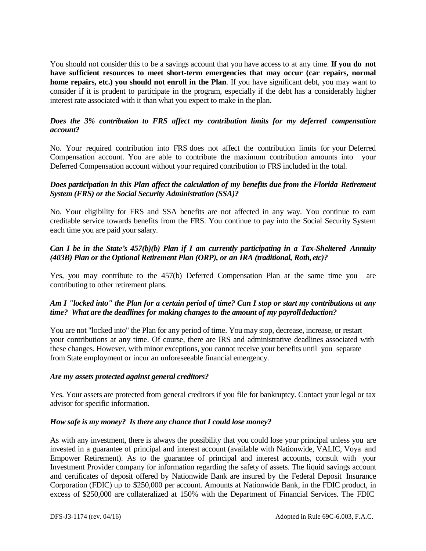You should not consider this to be a savings account that you have access to at any time. **If you do not have sufficient resources to meet short-term emergencies that may occur (car repairs, normal home repairs, etc.) you should not enroll in the Plan**. If you have significant debt, you may want to consider if it is prudent to participate in the program, especially if the debt has a considerably higher interest rate associated with it than what you expect to make in the plan.

## *Does the 3% contribution to FRS affect my contribution limits for my deferred compensation account?*

No. Your required contribution into FRS does not affect the contribution limits for your Deferred Compensation account. You are able to contribute the maximum contribution amounts into your Deferred Compensation account without your required contribution to FRS included in the total.

# *Does participation in this Plan affect the calculation of my benefits due from the Florida Retirement System (FRS) or the Social Security Administration (SSA)?*

No. Your eligibility for FRS and SSA benefits are not affected in any way. You continue to earn creditable service towards benefits from the FRS. You continue to pay into the Social Security System each time you are paid your salary.

# *Can I be in the State's 457(b)(b) Plan if I am currently participating in a Tax-Sheltered Annuity (403B) Plan or the Optional Retirement Plan (ORP), or an IRA (traditional, Roth, etc)?*

Yes, you may contribute to the 457(b) Deferred Compensation Plan at the same time you are contributing to other retirement plans.

# *Am I "locked into" the Plan for a certain period of time? Can I stop or start my contributions at any time? What are the deadlines for making changes to the amount of my payrolldeduction?*

You are not "locked into" the Plan for any period of time. You may stop, decrease, increase, or restart your contributions at any time. Of course, there are IRS and administrative deadlines associated with these changes. However, with minor exceptions, you cannot receive your benefits until you separate from State employment or incur an unforeseeable financial emergency.

#### *Are my assets protected against general creditors?*

Yes. Your assets are protected from general creditors if you file for bankruptcy. Contact your legal or tax advisor for specific information.

#### *How safe is my money? Is there any chance that I could lose money?*

As with any investment, there is always the possibility that you could lose your principal unless you are invested in a guarantee of principal and interest account (available with Nationwide, VALIC, Voya and Empower Retirement). As to the guarantee of principal and interest accounts, consult with your Investment Provider company for information regarding the safety of assets. The liquid savings account and certificates of deposit offered by Nationwide Bank are insured by the Federal Deposit Insurance Corporation (FDIC) up to \$250,000 per account. Amounts at Nationwide Bank, in the FDIC product, in excess of \$250,000 are collateralized at 150% with the Department of Financial Services. The FDIC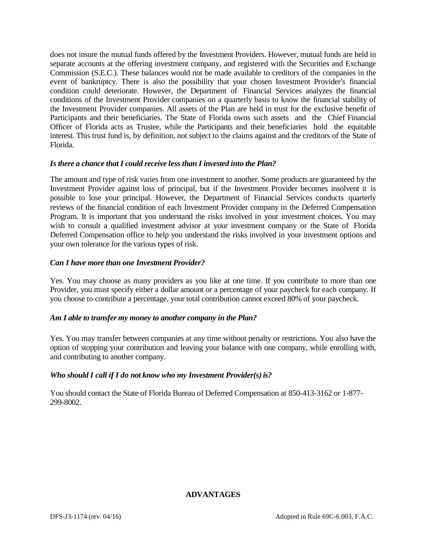does not insure the mutual funds offered by the Investment Providers. However, mutual funds are held in separate accounts at the offering investment company, and registered with the Securities and Exchange Commission (S.E.C.). These balances would not be made available to creditors of the companies in the event of bankruptcy. There is also the possibility that your chosen Investment Provider's financial condition could deteriorate. However, the Department of Financial Services analyzes the financial conditions of the Investment Provider companies on a quarterly basis to know the financial stability of the Investment Provider companies. All assets of the Plan are held in trust for the exclusive benefit of Participants and their beneficiaries. The State of Florida owns such assets and the Chief Financial Officer of Florida acts as Trustee, while the Participants and their beneficiaries hold the equitable interest. This trust fund is, by definition, not subject to the claims against and the creditors of the State of Florida.

#### *Is there a chance that I could receive less than I invested into the Plan?*

The amount and type of risk varies from one investment to another. Some products are guaranteed by the Investment Provider against loss of principal, but if the Investment Provider becomes insolvent it is possible to lose your principal. However, the Department of Financial Services conducts quarterly reviews of the financial condition of each Investment Provider company in the Deferred Compensation Program. It is important that you understand the risks involved in your investment choices. You may wish to consult a qualified investment advisor at your investment company or the State of Florida Deferred Compensation office to help you understand the risks involved in your investment options and your own tolerance for the various types of risk.

#### *Can I have more than one Investment Provider?*

Yes. You may choose as many providers as you like at one time. If you contribute to more than one Provider, you must specify either a dollar amount or a percentage of your paycheck for each company. If you choose to contribute a percentage, your total contribution cannot exceed 80% of your paycheck.

#### *Am I able to transfer my money to another company in the Plan?*

Yes. You may transfer between companies at any time without penalty or restrictions. You also have the option of stopping your contribution and leaving your balance with one company, while enrolling with, and contributing to another company.

#### *Who should I call if I do not know who my Investment Provider(s)is?*

You should contact the State of Florida Bureau of Deferred Compensation at 850-413-3162 or 1-877- 299-8002.

#### **ADVANTAGES**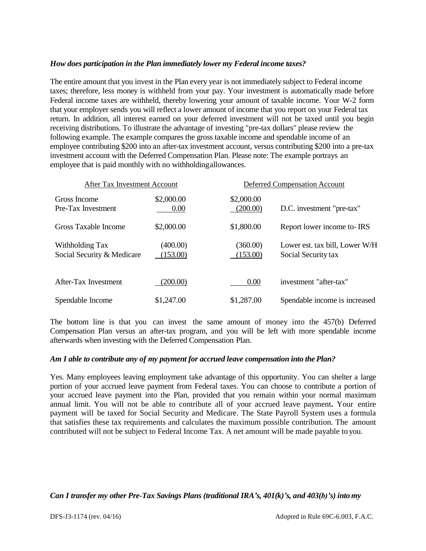## *How does participation in the Plan immediately lower my Federal income taxes?*

The entire amount that you invest in the Plan every year is not immediately subject to Federal income taxes; therefore, less money is withheld from your pay. Your investment is automatically made before Federal income taxes are withheld, thereby lowering your amount of taxable income. Your W-2 form that your employer sends you will reflect a lower amount of income that you report on your Federal tax return. In addition, all interest earned on your deferred investment will not be taxed until you begin receiving distributions. To illustrate the advantage of investing "pre-tax dollars" please review the following example. The example compares the gross taxable income and spendable income of an employee contributing \$200 into an after-tax investment account, versus contributing \$200 into a pre-tax investment account with the Deferred Compensation Plan. Please note: The example portrays an employee that is paid monthly with no withholdingallowances.

| After Tax Investment Account                  |                      |                        | <b>Deferred Compensation Account</b>                  |  |
|-----------------------------------------------|----------------------|------------------------|-------------------------------------------------------|--|
| Gross Income<br>Pre-Tax Investment            | \$2,000.00<br>0.00   | \$2,000.00<br>(200.00) | D.C. investment "pre-tax"                             |  |
| Gross Taxable Income                          | \$2,000.00           | \$1,800.00             | Report lower income to- IRS                           |  |
| Withholding Tax<br>Social Security & Medicare | (400.00)<br>(153.00) | (360.00)<br>(153.00)   | Lower est. tax bill, Lower W/H<br>Social Security tax |  |
| After-Tax Investment                          | (200.00)             | 0.00                   | investment "after-tax"                                |  |
| Spendable Income                              | \$1,247.00           | \$1,287.00             | Spendable income is increased                         |  |

The bottom line is that you can invest the same amount of money into the 457(b) Deferred Compensation Plan versus an after-tax program, and you will be left with more spendable income afterwards when investing with the Deferred Compensation Plan.

#### *Am I able to contribute any of my payment for accrued leave compensation into the Plan?*

Yes. Many employees leaving employment take advantage of this opportunity. You can shelter a large portion of your accrued leave payment from Federal taxes. You can choose to contribute a portion of your accrued leave payment into the Plan, provided that you remain within your normal maximum annual limit. You will not be able to contribute all of your accrued leave payment**.** Your entire payment will be taxed for Social Security and Medicare. The State Payroll System uses a formula that satisfies these tax requirements and calculates the maximum possible contribution. The amount contributed will not be subject to Federal Income Tax. A net amount will be made payable to you.

#### *Can I transfer my other Pre-Tax Savings Plans (traditional IRA's, 401(k)'s, and 403(b)'s) into my*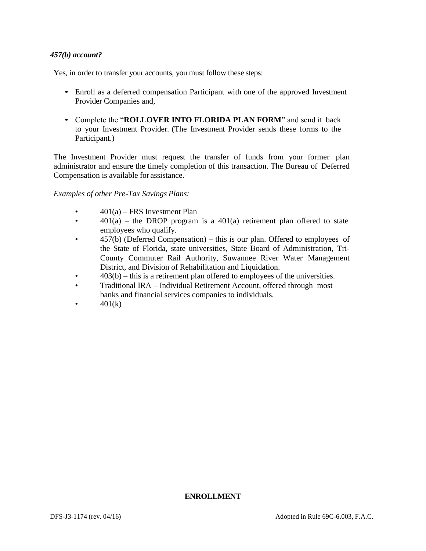## *457(b) account?*

Yes, in order to transfer your accounts, you must follow these steps:

- Enroll as a deferred compensation Participant with one of the approved Investment Provider Companies and,
- Complete the "**ROLLOVER INTO FLORIDA PLAN FORM**" and send it back to your Investment Provider. (The Investment Provider sends these forms to the Participant.)

The Investment Provider must request the transfer of funds from your former plan administrator and ensure the timely completion of this transaction. The Bureau of Deferred Compensation is available for assistance.

*Examples of other Pre-Tax Savings Plans:*

- $401(a)$  FRS Investment Plan
- $401(a)$  the DROP program is a  $401(a)$  retirement plan offered to state employees who qualify.
- 457(b) (Deferred Compensation) this is our plan. Offered to employees of the State of Florida, state universities, State Board of Administration, Tri-County Commuter Rail Authority, Suwannee River Water Management District, and Division of Rehabilitation and Liquidation.
- $403(b)$  this is a retirement plan offered to employees of the universities.
- Traditional IRA Individual Retirement Account, offered through most banks and financial services companies to individuals.
- $401(k)$

#### **ENROLLMENT**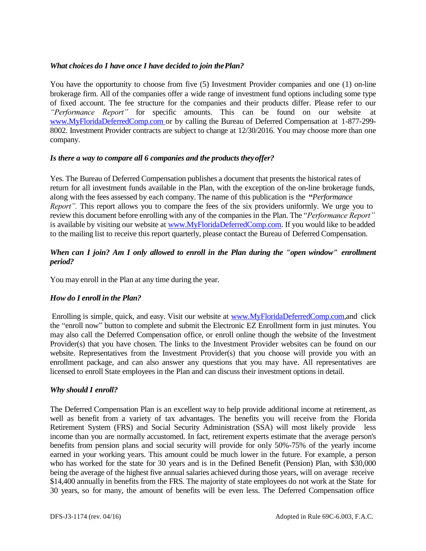## *What choices do I have once I have decided to join thePlan?*

You have the opportunity to choose from five (5) Investment Provider companies and one (1) on-line brokerage firm. All of the companies offer a wide range of investment fund options including some type of fixed account. The fee structure for the companies and their products differ. Please refer to our *"Performance Report"* for specific amounts. This can be found on our website at [www.MyFloridaDeferredComp.com o](http://www.myfloridadeferredcomp.com/)r by calling the Bureau of Deferred Compensation at 1-877-299- 8002. Investment Provider contracts are subject to change at 12/30/2016. You may choose more than one company.

## *Is there a way to compare all 6 companies and the products theyoffer?*

Yes. The Bureau of Deferred Compensation publishes a document that presents the historical rates of return for all investment funds available in the Plan, with the exception of the on-line brokerage funds, along with the fees assessed by each company. The name of this publication is the **"***Performance Report"*. This report allows you to compare the fees of the six providers uniformly. We urge you to review this document before enrolling with any of the companies in the Plan. The "*Performance Report"* is available by visiting our website at [www.MyFloridaDeferredComp.com.](http://www.myfloridadeferredcomp.com/) If you would like to beadded to the mailing list to receive this report quarterly, please contact the Bureau of Deferred Compensation.

# *When can I join? Am I only allowed to enroll in the Plan during the "open window" enrollment period?*

You may enroll in the Plan at any time during the year.

# *How do I enroll in the Plan?*

Enrolling is simple, quick, and easy. Visit our website at [www.MyFloridaDeferredComp.com,](http://www.myfloridadeferredcomp.com/)and click the "enroll now" button to complete and submit the Electronic EZ Enrollment form in just minutes. You may also call the Deferred Compensation office, or enroll online though the website of the Investment Provider(s) that you have chosen. The links to the Investment Provider websites can be found on our website. Representatives from the Investment Provider(s) that you choose will provide you with an enrollment package, and can also answer any questions that you may have. All representatives are licensed to enroll State employees in the Plan and can discuss their investment options in detail.

#### *Why should I enroll?*

The Deferred Compensation Plan is an excellent way to help provide additional income at retirement, as well as benefit from a variety of tax advantages. The benefits you will receive from the Florida Retirement System (FRS) and Social Security Administration (SSA) will most likely provide less income than you are normally accustomed. In fact, retirement experts estimate that the average person's benefits from pension plans and social security will provide for only 50%-75% of the yearly income earned in your working years. This amount could be much lower in the future. For example, a person who has worked for the state for 30 years and is in the Defined Benefit (Pension) Plan, with \$30,000 being the average of the highest five annual salaries achieved during those years, will on average receive \$14,400 annually in benefits from the FRS. The majority of state employees do not work at the State for 30 years, so for many, the amount of benefits will be even less. The Deferred Compensation office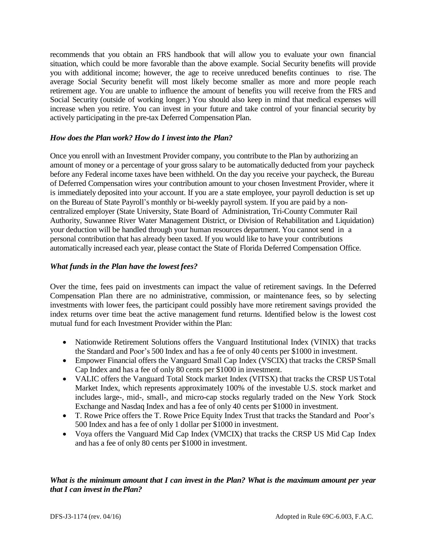recommends that you obtain an FRS handbook that will allow you to evaluate your own financial situation, which could be more favorable than the above example. Social Security benefits will provide you with additional income; however, the age to receive unreduced benefits continues to rise. The average Social Security benefit will most likely become smaller as more and more people reach retirement age. You are unable to influence the amount of benefits you will receive from the FRS and Social Security (outside of working longer.) You should also keep in mind that medical expenses will increase when you retire. You can invest in your future and take control of your financial security by actively participating in the pre-tax Deferred Compensation Plan.

## *How does the Plan work? How do I invest into the Plan?*

Once you enroll with an Investment Provider company, you contribute to the Plan by authorizing an amount of money or a percentage of your gross salary to be automatically deducted from your paycheck before any Federal income taxes have been withheld. On the day you receive your paycheck, the Bureau of Deferred Compensation wires your contribution amount to your chosen Investment Provider, where it is immediately deposited into your account. If you are a state employee, your payroll deduction is set up on the Bureau of State Payroll's monthly or bi-weekly payroll system. If you are paid by a noncentralized employer (State University, State Board of Administration, Tri-County Commuter Rail Authority, Suwannee River Water Management District, or Division of Rehabilitation and Liquidation) your deduction will be handled through your human resources department. You cannot send in a personal contribution that has already been taxed. If you would like to have your contributions automatically increased each year, please contact the State of Florida Deferred Compensation Office.

# *What funds in the Plan have the lowest fees?*

Over the time, fees paid on investments can impact the value of retirement savings. In the Deferred Compensation Plan there are no administrative, commission, or maintenance fees, so by selecting investments with lower fees, the participant could possibly have more retirement savings provided the index returns over time beat the active management fund returns. Identified below is the lowest cost mutual fund for each Investment Provider within the Plan:

- Nationwide Retirement Solutions offers the Vanguard Institutional Index (VINIX) that tracks the Standard and Poor's 500 Index and has a fee of only 40 cents per \$1000 in investment.
- Empower Financial offers the Vanguard Small Cap Index (VSCIX) that tracks the CRSP Small Cap Index and has a fee of only 80 cents per \$1000 in investment.
- VALIC offers the Vanguard Total Stock market Index (VITSX) that tracks the CRSP USTotal Market Index, which represents approximately 100% of the investable U.S. stock market and includes large-, mid-, small-, and micro-cap stocks regularly traded on the New York Stock Exchange and Nasdaq Index and has a fee of only 40 cents per \$1000 in investment.
- T. Rowe Price offers the T. Rowe Price Equity Index Trust that tracks the Standard and Poor's 500 Index and has a fee of only 1 dollar per \$1000 in investment.
- Voya offers the Vanguard Mid Cap Index (VMCIX) that tracks the CRSP US Mid Cap Index and has a fee of only 80 cents per \$1000 in investment.

# *What is the minimum amount that I can invest in the Plan? What is the maximum amount per year that I can invest in thePlan?*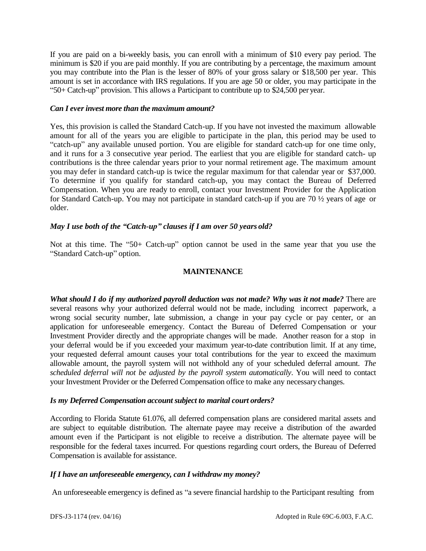If you are paid on a bi-weekly basis, you can enroll with a minimum of \$10 every pay period. The minimum is \$20 if you are paid monthly. If you are contributing by a percentage, the maximum amount you may contribute into the Plan is the lesser of 80% of your gross salary or \$18,500 per year. This amount is set in accordance with IRS regulations. If you are age 50 or older, you may participate in the "50+ Catch-up" provision. This allows a Participant to contribute up to \$24,500 peryear.

## *Can I ever invest more than the maximum amount?*

Yes, this provision is called the Standard Catch-up. If you have not invested the maximum allowable amount for all of the years you are eligible to participate in the plan, this period may be used to "catch-up" any available unused portion. You are eligible for standard catch-up for one time only, and it runs for a 3 consecutive year period. The earliest that you are eligible for standard catch- up contributions is the three calendar years prior to your normal retirement age. The maximum amount you may defer in standard catch-up is twice the regular maximum for that calendar year or \$37,000. To determine if you qualify for standard catch-up, you may contact the Bureau of Deferred Compensation. When you are ready to enroll, contact your Investment Provider for the Application for Standard Catch-up. You may not participate in standard catch-up if you are 70 ½ years of age or older.

# *May I use both of the "Catch-up" clauses if I am over 50 years old?*

Not at this time. The "50+ Catch-up" option cannot be used in the same year that you use the "Standard Catch-up" option.

# **MAINTENANCE**

*What should I do if my authorized payroll deduction was not made? Why was it not made?* There are several reasons why your authorized deferral would not be made, including incorrect paperwork, a wrong social security number, late submission, a change in your pay cycle or pay center, or an application for unforeseeable emergency. Contact the Bureau of Deferred Compensation or your Investment Provider directly and the appropriate changes will be made. Another reason for a stop in your deferral would be if you exceeded your maximum year-to-date contribution limit. If at any time, your requested deferral amount causes your total contributions for the year to exceed the maximum allowable amount, the payroll system will not withhold any of your scheduled deferral amount. *The scheduled deferral will not be adjusted by the payroll system automatically*. You will need to contact your Investment Provider or the Deferred Compensation office to make any necessarychanges.

# *Is my Deferred Compensation account subject to marital court orders?*

According to Florida Statute 61.076, all deferred compensation plans are considered marital assets and are subject to equitable distribution. The alternate payee may receive a distribution of the awarded amount even if the Participant is not eligible to receive a distribution. The alternate payee will be responsible for the federal taxes incurred. For questions regarding court orders, the Bureau of Deferred Compensation is available for assistance.

# *If I have an unforeseeable emergency, can I withdraw my money?*

An unforeseeable emergency is defined as "a severe financial hardship to the Participant resulting from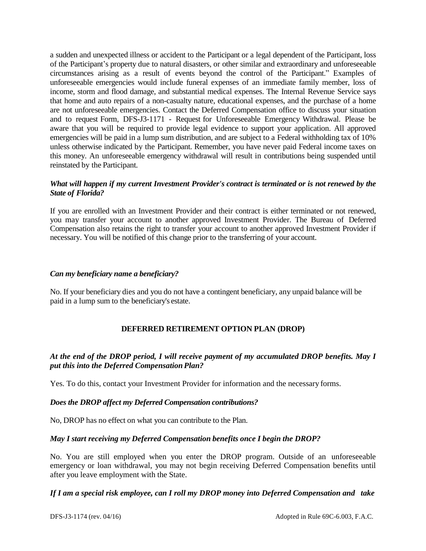a sudden and unexpected illness or accident to the Participant or a legal dependent of the Participant, loss of the Participant's property due to natural disasters, or other similar and extraordinary and unforeseeable circumstances arising as a result of events beyond the control of the Participant." Examples of unforeseeable emergencies would include funeral expenses of an immediate family member, loss of income, storm and flood damage, and substantial medical expenses. The Internal Revenue Service says that home and auto repairs of a non-casualty nature, educational expenses, and the purchase of a home are not unforeseeable emergencies. Contact the Deferred Compensation office to discuss your situation and to request Form, DFS-J3-1171 - Request for Unforeseeable Emergency Withdrawal. Please be aware that you will be required to provide legal evidence to support your application. All approved emergencies will be paid in a lump sum distribution, and are subject to a Federal withholding tax of 10% unless otherwise indicated by the Participant. Remember, you have never paid Federal income taxes on this money. An unforeseeable emergency withdrawal will result in contributions being suspended until reinstated by the Participant.

## *What will happen if my current Investment Provider's contract is terminated or is not renewed by the State of Florida?*

If you are enrolled with an Investment Provider and their contract is either terminated or not renewed, you may transfer your account to another approved Investment Provider. The Bureau of Deferred Compensation also retains the right to transfer your account to another approved Investment Provider if necessary. You will be notified of this change prior to the transferring of your account.

## *Can my beneficiary name a beneficiary?*

No. If your beneficiary dies and you do not have a contingent beneficiary, any unpaid balance will be paid in a lump sum to the beneficiary's estate.

# **DEFERRED RETIREMENT OPTION PLAN (DROP)**

# *At the end of the DROP period, I will receive payment of my accumulated DROP benefits. May I put this into the Deferred Compensation Plan?*

Yes. To do this, contact your Investment Provider for information and the necessary forms.

# *Does the DROP affect my Deferred Compensation contributions?*

No, DROP has no effect on what you can contribute to the Plan.

# *May I start receiving my Deferred Compensation benefits once I begin the DROP?*

No. You are still employed when you enter the DROP program. Outside of an unforeseeable emergency or loan withdrawal, you may not begin receiving Deferred Compensation benefits until after you leave employment with the State.

## *If I am a special risk employee, can I roll my DROP money into Deferred Compensation and take*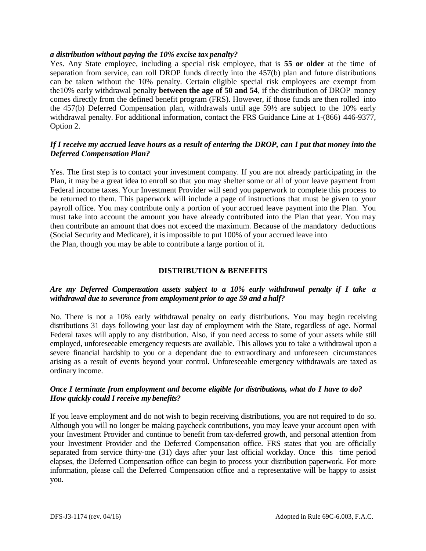## *a distribution without paying the 10% excise tax penalty?*

Yes. Any State employee, including a special risk employee, that is **55 or older** at the time of separation from service, can roll DROP funds directly into the 457(b) plan and future distributions can be taken without the 10% penalty. Certain eligible special risk employees are exempt from the10% early withdrawal penalty **between the age of 50 and 54**, if the distribution of DROP money comes directly from the defined benefit program (FRS). However, if those funds are then rolled into the 457(b) Deferred Compensation plan, withdrawals until age 59½ are subject to the 10% early withdrawal penalty. For additional information, contact the FRS Guidance Line at 1-(866) 446-9377, Option 2.

# *If I receive my accrued leave hours as a result of entering the DROP, can I put that money into the Deferred Compensation Plan?*

Yes. The first step is to contact your investment company. If you are not already participating in the Plan, it may be a great idea to enroll so that you may shelter some or all of your leave payment from Federal income taxes. Your Investment Provider will send you paperwork to complete this process to be returned to them. This paperwork will include a page of instructions that must be given to your payroll office. You may contribute only a portion of your accrued leave payment into the Plan. You must take into account the amount you have already contributed into the Plan that year. You may then contribute an amount that does not exceed the maximum. Because of the mandatory deductions (Social Security and Medicare), it is impossible to put 100% of your accrued leave into the Plan, though you may be able to contribute a large portion of it.

## **DISTRIBUTION & BENEFITS**

# *Are my Deferred Compensation assets subject to a 10% early withdrawal penalty if I take a withdrawal due to severance from employment prior to age 59 and a half?*

No. There is not a 10% early withdrawal penalty on early distributions. You may begin receiving distributions 31 days following your last day of employment with the State, regardless of age. Normal Federal taxes will apply to any distribution. Also, if you need access to some of your assets while still employed, unforeseeable emergency requests are available. This allows you to take a withdrawal upon a severe financial hardship to you or a dependant due to extraordinary and unforeseen circumstances arising as a result of events beyond your control. Unforeseeable emergency withdrawals are taxed as ordinary income.

## *Once I terminate from employment and become eligible for distributions, what do I have to do? How quickly could I receive my benefits?*

If you leave employment and do not wish to begin receiving distributions, you are not required to do so. Although you will no longer be making paycheck contributions, you may leave your account open with your Investment Provider and continue to benefit from tax-deferred growth, and personal attention from your Investment Provider and the Deferred Compensation office. FRS states that you are officially separated from service thirty-one (31) days after your last official workday. Once this time period elapses, the Deferred Compensation office can begin to process your distribution paperwork. For more information, please call the Deferred Compensation office and a representative will be happy to assist you.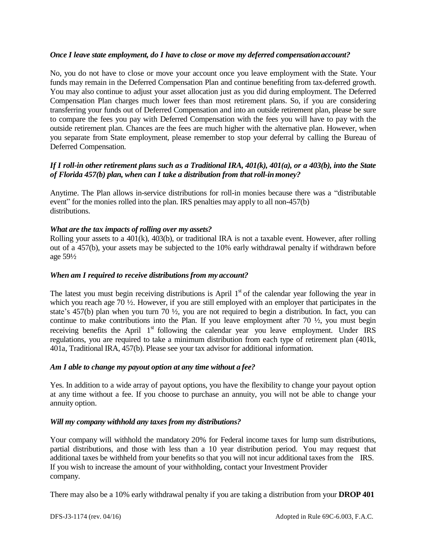## *Once I leave state employment, do I have to close or move my deferred compensationaccount?*

No, you do not have to close or move your account once you leave employment with the State. Your funds may remain in the Deferred Compensation Plan and continue benefiting from tax-deferred growth. You may also continue to adjust your asset allocation just as you did during employment. The Deferred Compensation Plan charges much lower fees than most retirement plans. So, if you are considering transferring your funds out of Deferred Compensation and into an outside retirement plan, please be sure to compare the fees you pay with Deferred Compensation with the fees you will have to pay with the outside retirement plan. Chances are the fees are much higher with the alternative plan. However, when you separate from State employment, please remember to stop your deferral by calling the Bureau of Deferred Compensation.

# *If I roll-in other retirement plans such as a Traditional IRA, 401(k), 401(a), or a 403(b), into the State of Florida 457(b) plan, when can I take a distribution from that roll-inmoney?*

Anytime. The Plan allows in-service distributions for roll-in monies because there was a "distributable event" for the monies rolled into the plan. IRS penalties may apply to all non-457(b) distributions.

## *What are the tax impacts of rolling over my assets?*

Rolling your assets to a  $401(k)$ ,  $403(b)$ , or traditional IRA is not a taxable event. However, after rolling out of a 457(b), your assets may be subjected to the 10% early withdrawal penalty if withdrawn before age 59½

## *When am I required to receive distributions from my account?*

The latest you must begin receiving distributions is April  $1<sup>st</sup>$  of the calendar year following the year in which you reach age 70  $\frac{1}{2}$ . However, if you are still employed with an employer that participates in the state's 457(b) plan when you turn 70 ½, you are not required to begin a distribution. In fact, you can continue to make contributions into the Plan. If you leave employment after 70  $\frac{1}{2}$ , you must begin receiving benefits the April 1<sup>st</sup> following the calendar year you leave employment. Under IRS regulations, you are required to take a minimum distribution from each type of retirement plan (401k, 401a, Traditional IRA, 457(b). Please see your tax advisor for additional information.

#### *Am I able to change my payout option at any time without a fee?*

Yes. In addition to a wide array of payout options, you have the flexibility to change your payout option at any time without a fee. If you choose to purchase an annuity, you will not be able to change your annuity option.

# *Will my company withhold any taxes from my distributions?*

Your company will withhold the mandatory 20% for Federal income taxes for lump sum distributions, partial distributions, and those with less than a 10 year distribution period. You may request that additional taxes be withheld from your benefits so that you will not incur additional taxes from the IRS. If you wish to increase the amount of your withholding, contact your Investment Provider company.

There may also be a 10% early withdrawal penalty if you are taking a distribution from your **DROP 401**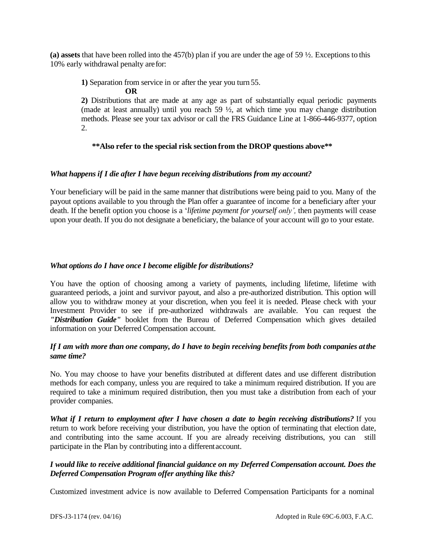**(a) assets** that have been rolled into the 457(b) plan if you are under the age of 59 ½. Exceptions to this 10% early withdrawal penalty arefor:

**1)** Separation from service in or after the year you turn 55.

**OR 2)** Distributions that are made at any age as part of substantially equal periodic payments (made at least annually) until you reach 59  $\frac{1}{2}$ , at which time you may change distribution methods. Please see your tax advisor or call the FRS Guidance Line at 1-866-446-9377, option 2.

# **\*\*Also refer to the special risk section from the DROP questions above\*\***

# *What happens if I die after I have begun receiving distributions from my account?*

Your beneficiary will be paid in the same manner that distributions were being paid to you. Many of the payout options available to you through the Plan offer a guarantee of income for a beneficiary after your death. If the benefit option you choose is a '*lifetime payment for yourself only',* then payments will cease upon your death. If you do not designate a beneficiary, the balance of your account will go to your estate.

# *What options do I have once I become eligible for distributions?*

You have the option of choosing among a variety of payments, including lifetime, lifetime with guaranteed periods, a joint and survivor payout, and also a pre-authorized distribution. This option will allow you to withdraw money at your discretion, when you feel it is needed. Please check with your Investment Provider to see if pre-authorized withdrawals are available. You can request the *"Distribution Guide"* booklet from the Bureau of Deferred Compensation which gives detailed information on your Deferred Compensation account.

# *If I am with more than one company, do I have to begin receiving benefits from both companies atthe same time?*

No. You may choose to have your benefits distributed at different dates and use different distribution methods for each company, unless you are required to take a minimum required distribution. If you are required to take a minimum required distribution, then you must take a distribution from each of your provider companies.

*What if I return to employment after I have chosen a date to begin receiving distributions?* If you return to work before receiving your distribution, you have the option of terminating that election date, and contributing into the same account. If you are already receiving distributions, you can still participate in the Plan by contributing into a differentaccount.

# *I would like to receive additional financial guidance on my Deferred Compensation account. Does the Deferred Compensation Program offer anything like this?*

Customized investment advice is now available to Deferred Compensation Participants for a nominal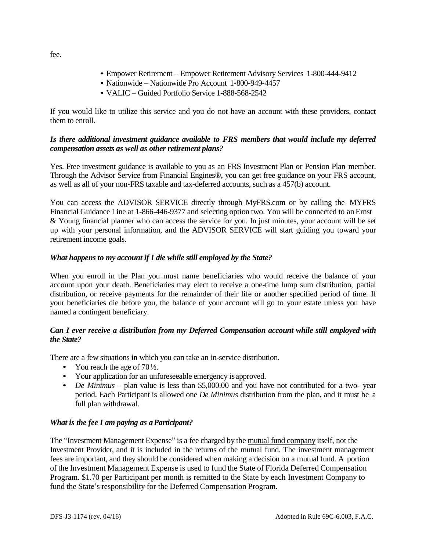- Empower Retirement Empower Retirement Advisory Services 1-800-444-9412
- Nationwide Nationwide Pro Account 1-800-949-4457
- VALIC Guided Portfolio Service 1-888-568-2542

If you would like to utilize this service and you do not have an account with these providers, contact them to enroll.

# *Is there additional investment guidance available to FRS members that would include my deferred compensation assets as well as other retirement plans?*

Yes. Free investment guidance is available to you as an FRS Investment Plan or Pension Plan member. Through the Advisor Service from Financial Engines®, you can get free guidance on your FRS account, as well as all of your non-FRS taxable and tax-deferred accounts, such as a 457(b) account.

You can access the ADVISOR SERVICE directly through MyFRS.com or by calling the MYFRS Financial Guidance Line at 1-866-446-9377 and selecting option two. You will be connected to an Ernst & Young financial planner who can access the service for you. In just minutes, your account will be set up with your personal information, and the ADVISOR SERVICE will start guiding you toward your retirement income goals.

# *What happens to my account if I die while still employed by the State?*

When you enroll in the Plan you must name beneficiaries who would receive the balance of your account upon your death. Beneficiaries may elect to receive a one-time lump sum distribution, partial distribution, or receive payments for the remainder of their life or another specified period of time. If your beneficiaries die before you, the balance of your account will go to your estate unless you have named a contingent beneficiary.

# *Can I ever receive a distribution from my Deferred Compensation account while still employed with the State?*

There are a few situations in which you can take an in-service distribution.

- You reach the age of  $70\frac{1}{2}$ .
- Your application for an unforeseeable emergency is approved.
- *De Minimus* plan value is less than \$5,000.00 and you have not contributed for a two- year period. Each Participant is allowed one *De Minimus* distribution from the plan, and it must be a full plan withdrawal.

# *What is the fee I am paying as a Participant?*

The "Investment Management Expense" is a fee charged by the mutual fund company itself, not the Investment Provider, and it is included in the returns of the mutual fund. The investment management fees are important, and they should be considered when making a decision on a mutual fund. A portion of the Investment Management Expense is used to fund the State of Florida Deferred Compensation Program. \$1.70 per Participant per month is remitted to the State by each Investment Company to fund the State's responsibility for the Deferred Compensation Program.

fee.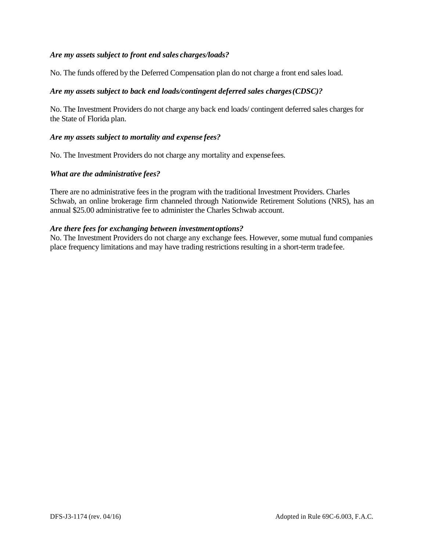## *Are my assets subject to front end sales charges/loads?*

No. The funds offered by the Deferred Compensation plan do not charge a front end sales load.

## *Are my assets subject to back end loads/contingent deferred sales charges(CDSC)?*

No. The Investment Providers do not charge any back end loads/ contingent deferred sales charges for the State of Florida plan.

#### *Are my assets subject to mortality and expense fees?*

No. The Investment Providers do not charge any mortality and expensefees.

#### *What are the administrative fees?*

There are no administrative fees in the program with the traditional Investment Providers. Charles Schwab, an online brokerage firm channeled through Nationwide Retirement Solutions (NRS), has an annual \$25.00 administrative fee to administer the Charles Schwab account.

#### *Are there fees for exchanging between investment options?*

No. The Investment Providers do not charge any exchange fees. However, some mutual fund companies place frequency limitations and may have trading restrictions resulting in a short-term tradefee.